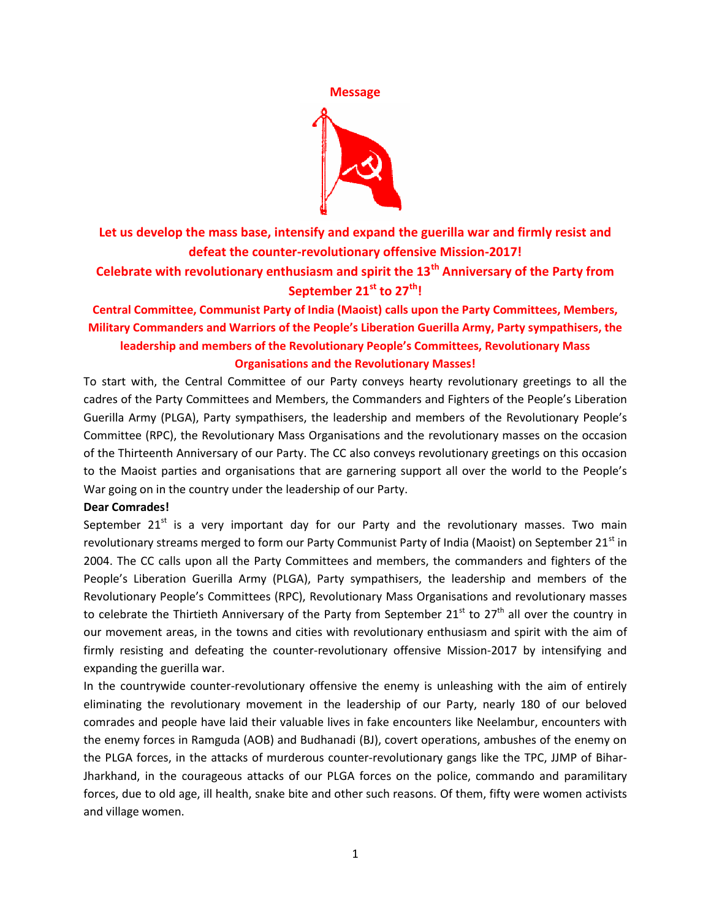

**Let us develop the mass base, intensify and expand the guerilla war and firmly resist and defeat the counter-revolutionary offensive Mission-2017!**

**Celebrate with revolutionary enthusiasm and spirit the 13th Anniversary of the Party from September 21st to 27th!**

# **Central Committee, Communist Party of India (Maoist) calls upon the Party Committees, Members, Military Commanders and Warriors of the People's Liberation Guerilla Army, Party sympathisers, the leadership and members of the Revolutionary People's Committees, Revolutionary Mass Organisations and the Revolutionary Masses!**

To start with, the Central Committee of our Party conveys hearty revolutionary greetings to all the cadres of the Party Committees and Members, the Commanders and Fighters of the People's Liberation Guerilla Army (PLGA), Party sympathisers, the leadership and members of the Revolutionary People's Committee (RPC), the Revolutionary Mass Organisations and the revolutionary masses on the occasion of the Thirteenth Anniversary of our Party. The CC also conveys revolutionary greetings on this occasion to the Maoist parties and organisations that are garnering support all over the world to the People's War going on in the country under the leadership of our Party.

## **Dear Comrades!**

September  $21^{st}$  is a very important day for our Party and the revolutionary masses. Two main revolutionary streams merged to form our Party Communist Party of India (Maoist) on September 21<sup>st</sup> in 2004. The CC calls upon all the Party Committees and members, the commanders and fighters of the People's Liberation Guerilla Army (PLGA), Party sympathisers, the leadership and members of the Revolutionary People's Committees (RPC), Revolutionary Mass Organisations and revolutionary masses to celebrate the Thirtieth Anniversary of the Party from September  $21^{st}$  to  $27^{th}$  all over the country in our movement areas, in the towns and cities with revolutionary enthusiasm and spirit with the aim of firmly resisting and defeating the counter-revolutionary offensive Mission-2017 by intensifying and expanding the guerilla war.

In the countrywide counter-revolutionary offensive the enemy is unleashing with the aim of entirely eliminating the revolutionary movement in the leadership of our Party, nearly 180 of our beloved comrades and people have laid their valuable lives in fake encounters like Neelambur, encounters with the enemy forces in Ramguda (AOB) and Budhanadi (BJ), covert operations, ambushes of the enemy on the PLGA forces, in the attacks of murderous counter-revolutionary gangs like the TPC, JJMP of Bihar-Jharkhand, in the courageous attacks of our PLGA forces on the police, commando and paramilitary forces, due to old age, ill health, snake bite and other such reasons. Of them, fifty were women activists and village women.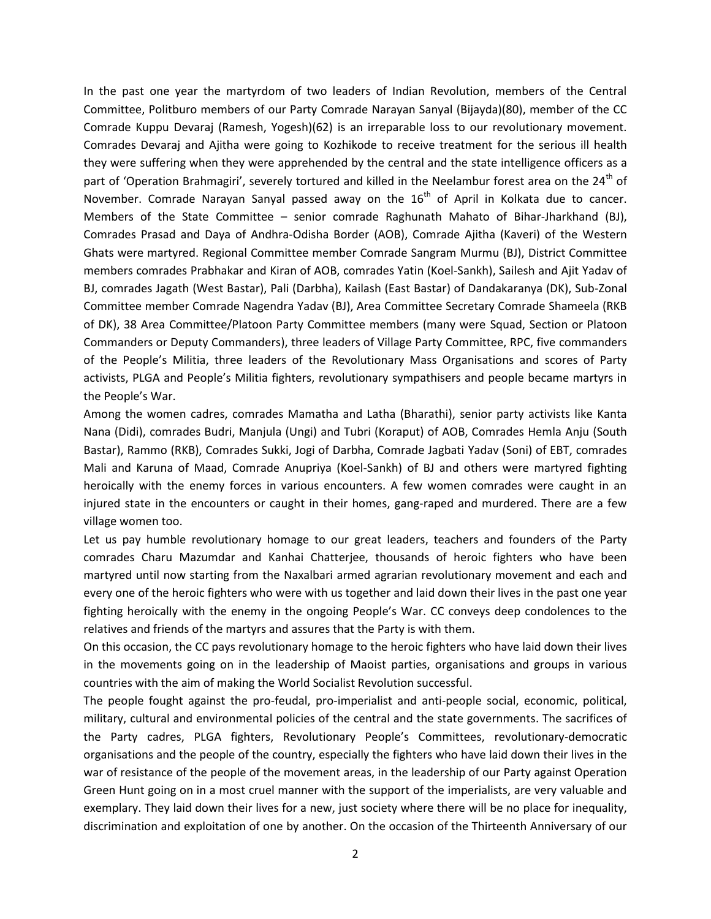In the past one year the martyrdom of two leaders of Indian Revolution, members of the Central Committee, Politburo members of our Party Comrade Narayan Sanyal (Bijayda)(80), member of the CC Comrade Kuppu Devaraj (Ramesh, Yogesh)(62) is an irreparable loss to our revolutionary movement. Comrades Devaraj and Ajitha were going to Kozhikode to receive treatment for the serious ill health they were suffering when they were apprehended by the central and the state intelligence officers as a part of 'Operation Brahmagiri', severely tortured and killed in the Neelambur forest area on the 24<sup>th</sup> of November. Comrade Narayan Sanyal passed away on the  $16<sup>th</sup>$  of April in Kolkata due to cancer. Members of the State Committee – senior comrade Raghunath Mahato of Bihar-Jharkhand (BJ), Comrades Prasad and Daya of Andhra-Odisha Border (AOB), Comrade Ajitha (Kaveri) of the Western Ghats were martyred. Regional Committee member Comrade Sangram Murmu (BJ), District Committee members comrades Prabhakar and Kiran of AOB, comrades Yatin (Koel-Sankh), Sailesh and Ajit Yadav of BJ, comrades Jagath (West Bastar), Pali (Darbha), Kailash (East Bastar) of Dandakaranya (DK), Sub-Zonal Committee member Comrade Nagendra Yadav (BJ), Area Committee Secretary Comrade Shameela (RKB of DK), 38 Area Committee/Platoon Party Committee members (many were Squad, Section or Platoon Commanders or Deputy Commanders), three leaders of Village Party Committee, RPC, five commanders of the People's Militia, three leaders of the Revolutionary Mass Organisations and scores of Party activists, PLGA and People's Militia fighters, revolutionary sympathisers and people became martyrs in the People's War.

Among the women cadres, comrades Mamatha and Latha (Bharathi), senior party activists like Kanta Nana (Didi), comrades Budri, Manjula (Ungi) and Tubri (Koraput) of AOB, Comrades Hemla Anju (South Bastar), Rammo (RKB), Comrades Sukki, Jogi of Darbha, Comrade Jagbati Yadav (Soni) of EBT, comrades Mali and Karuna of Maad, Comrade Anupriya (Koel-Sankh) of BJ and others were martyred fighting heroically with the enemy forces in various encounters. A few women comrades were caught in an injured state in the encounters or caught in their homes, gang-raped and murdered. There are a few village women too.

Let us pay humble revolutionary homage to our great leaders, teachers and founders of the Party comrades Charu Mazumdar and Kanhai Chatterjee, thousands of heroic fighters who have been martyred until now starting from the Naxalbari armed agrarian revolutionary movement and each and every one of the heroic fighters who were with us together and laid down their lives in the past one year fighting heroically with the enemy in the ongoing People's War. CC conveys deep condolences to the relatives and friends of the martyrs and assures that the Party is with them.

On this occasion, the CC pays revolutionary homage to the heroic fighters who have laid down their lives in the movements going on in the leadership of Maoist parties, organisations and groups in various countries with the aim of making the World Socialist Revolution successful.

The people fought against the pro-feudal, pro-imperialist and anti-people social, economic, political, military, cultural and environmental policies of the central and the state governments. The sacrifices of the Party cadres, PLGA fighters, Revolutionary People's Committees, revolutionary-democratic organisations and the people of the country, especially the fighters who have laid down their lives in the war of resistance of the people of the movement areas, in the leadership of our Party against Operation Green Hunt going on in a most cruel manner with the support of the imperialists, are very valuable and exemplary. They laid down their lives for a new, just society where there will be no place for inequality, discrimination and exploitation of one by another. On the occasion of the Thirteenth Anniversary of our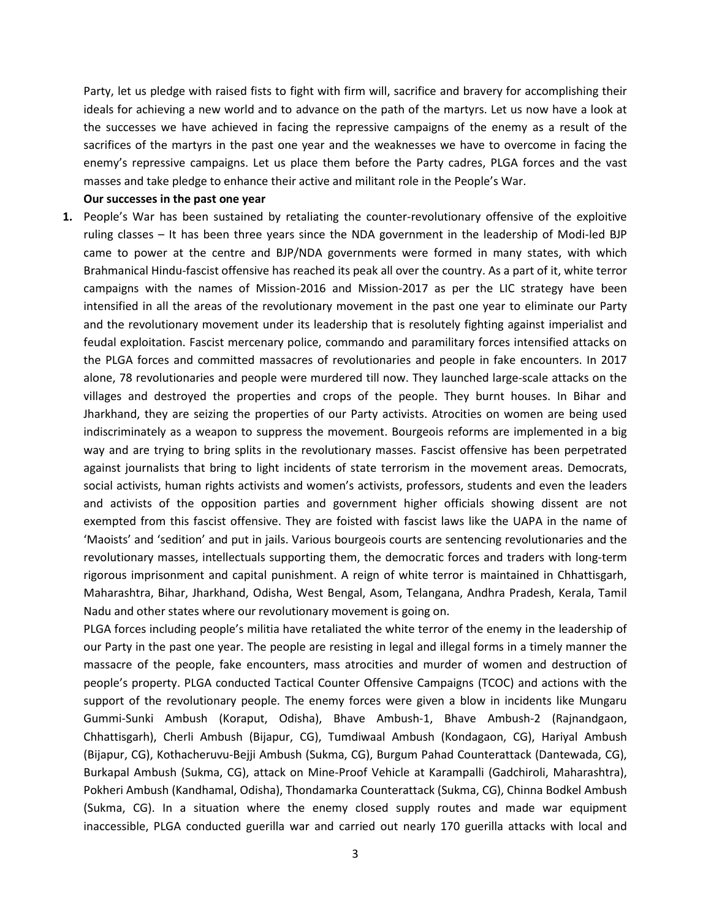Party, let us pledge with raised fists to fight with firm will, sacrifice and bravery for accomplishing their ideals for achieving a new world and to advance on the path of the martyrs. Let us now have a look at the successes we have achieved in facing the repressive campaigns of the enemy as a result of the sacrifices of the martyrs in the past one year and the weaknesses we have to overcome in facing the enemy's repressive campaigns. Let us place them before the Party cadres, PLGA forces and the vast masses and take pledge to enhance their active and militant role in the People's War.

### **Our successes in the past one year**

**1.** People's War has been sustained by retaliating the counter-revolutionary offensive of the exploitive ruling classes – It has been three years since the NDA government in the leadership of Modi-led BJP came to power at the centre and BJP/NDA governments were formed in many states, with which Brahmanical Hindu-fascist offensive has reached its peak all over the country. As a part of it, white terror campaigns with the names of Mission-2016 and Mission-2017 as per the LIC strategy have been intensified in all the areas of the revolutionary movement in the past one year to eliminate our Party and the revolutionary movement under its leadership that is resolutely fighting against imperialist and feudal exploitation. Fascist mercenary police, commando and paramilitary forces intensified attacks on the PLGA forces and committed massacres of revolutionaries and people in fake encounters. In 2017 alone, 78 revolutionaries and people were murdered till now. They launched large-scale attacks on the villages and destroyed the properties and crops of the people. They burnt houses. In Bihar and Jharkhand, they are seizing the properties of our Party activists. Atrocities on women are being used indiscriminately as a weapon to suppress the movement. Bourgeois reforms are implemented in a big way and are trying to bring splits in the revolutionary masses. Fascist offensive has been perpetrated against journalists that bring to light incidents of state terrorism in the movement areas. Democrats, social activists, human rights activists and women's activists, professors, students and even the leaders and activists of the opposition parties and government higher officials showing dissent are not exempted from this fascist offensive. They are foisted with fascist laws like the UAPA in the name of 'Maoists' and 'sedition' and put in jails. Various bourgeois courts are sentencing revolutionaries and the revolutionary masses, intellectuals supporting them, the democratic forces and traders with long-term rigorous imprisonment and capital punishment. A reign of white terror is maintained in Chhattisgarh, Maharashtra, Bihar, Jharkhand, Odisha, West Bengal, Asom, Telangana, Andhra Pradesh, Kerala, Tamil Nadu and other states where our revolutionary movement is going on.

PLGA forces including people's militia have retaliated the white terror of the enemy in the leadership of our Party in the past one year. The people are resisting in legal and illegal forms in a timely manner the massacre of the people, fake encounters, mass atrocities and murder of women and destruction of people's property. PLGA conducted Tactical Counter Offensive Campaigns (TCOC) and actions with the support of the revolutionary people. The enemy forces were given a blow in incidents like Mungaru Gummi-Sunki Ambush (Koraput, Odisha), Bhave Ambush-1, Bhave Ambush-2 (Rajnandgaon, Chhattisgarh), Cherli Ambush (Bijapur, CG), Tumdiwaal Ambush (Kondagaon, CG), Hariyal Ambush (Bijapur, CG), Kothacheruvu-Bejji Ambush (Sukma, CG), Burgum Pahad Counterattack (Dantewada, CG), Burkapal Ambush (Sukma, CG), attack on Mine-Proof Vehicle at Karampalli (Gadchiroli, Maharashtra), Pokheri Ambush (Kandhamal, Odisha), Thondamarka Counterattack (Sukma, CG), Chinna Bodkel Ambush (Sukma, CG). In a situation where the enemy closed supply routes and made war equipment inaccessible, PLGA conducted guerilla war and carried out nearly 170 guerilla attacks with local and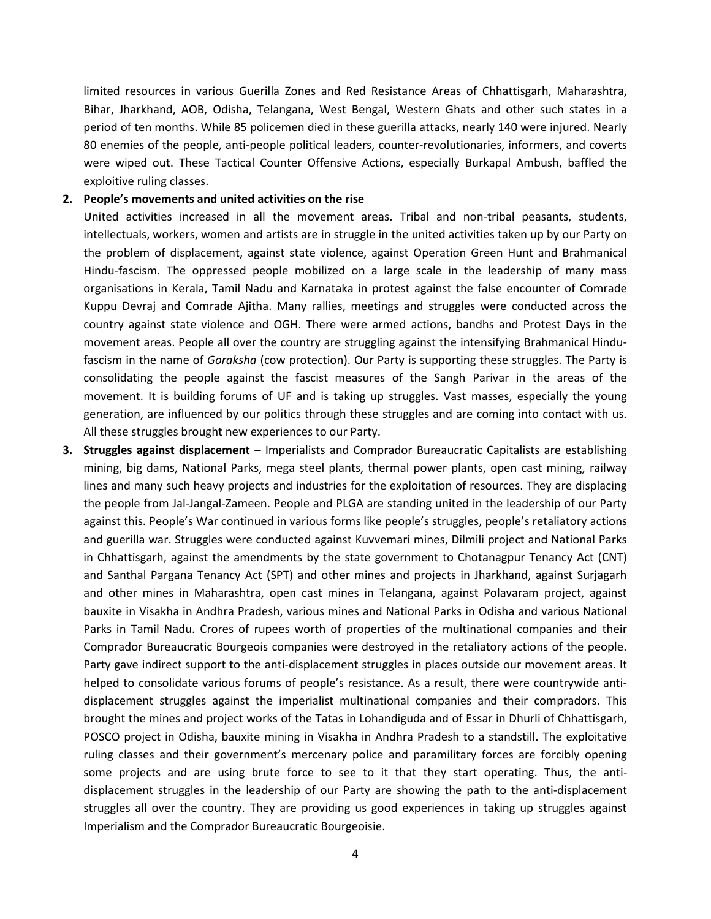limited resources in various Guerilla Zones and Red Resistance Areas of Chhattisgarh, Maharashtra, Bihar, Jharkhand, AOB, Odisha, Telangana, West Bengal, Western Ghats and other such states in a period of ten months. While 85 policemen died in these guerilla attacks, nearly 140 were injured. Nearly 80 enemies of the people, anti-people political leaders, counter-revolutionaries, informers, and coverts were wiped out. These Tactical Counter Offensive Actions, especially Burkapal Ambush, baffled the exploitive ruling classes.

### **2. People's movements and united activities on the rise**

United activities increased in all the movement areas. Tribal and non-tribal peasants, students, intellectuals, workers, women and artists are in struggle in the united activities taken up by our Party on the problem of displacement, against state violence, against Operation Green Hunt and Brahmanical Hindu-fascism. The oppressed people mobilized on a large scale in the leadership of many mass organisations in Kerala, Tamil Nadu and Karnataka in protest against the false encounter of Comrade Kuppu Devraj and Comrade Ajitha. Many rallies, meetings and struggles were conducted across the country against state violence and OGH. There were armed actions, bandhs and Protest Days in the movement areas. People all over the country are struggling against the intensifying Brahmanical Hindufascism in the name of *Goraksha* (cow protection). Our Party is supporting these struggles. The Party is consolidating the people against the fascist measures of the Sangh Parivar in the areas of the movement. It is building forums of UF and is taking up struggles. Vast masses, especially the young generation, are influenced by our politics through these struggles and are coming into contact with us. All these struggles brought new experiences to our Party.

**3. Struggles against displacement** – Imperialists and Comprador Bureaucratic Capitalists are establishing mining, big dams, National Parks, mega steel plants, thermal power plants, open cast mining, railway lines and many such heavy projects and industries for the exploitation of resources. They are displacing the people from Jal-Jangal-Zameen. People and PLGA are standing united in the leadership of our Party against this. People's War continued in various forms like people's struggles, people's retaliatory actions and guerilla war. Struggles were conducted against Kuvvemari mines, Dilmili project and National Parks in Chhattisgarh, against the amendments by the state government to Chotanagpur Tenancy Act (CNT) and Santhal Pargana Tenancy Act (SPT) and other mines and projects in Jharkhand, against Surjagarh and other mines in Maharashtra, open cast mines in Telangana, against Polavaram project, against bauxite in Visakha in Andhra Pradesh, various mines and National Parks in Odisha and various National Parks in Tamil Nadu. Crores of rupees worth of properties of the multinational companies and their Comprador Bureaucratic Bourgeois companies were destroyed in the retaliatory actions of the people. Party gave indirect support to the anti-displacement struggles in places outside our movement areas. It helped to consolidate various forums of people's resistance. As a result, there were countrywide antidisplacement struggles against the imperialist multinational companies and their compradors. This brought the mines and project works of the Tatas in Lohandiguda and of Essar in Dhurli of Chhattisgarh, POSCO project in Odisha, bauxite mining in Visakha in Andhra Pradesh to a standstill. The exploitative ruling classes and their government's mercenary police and paramilitary forces are forcibly opening some projects and are using brute force to see to it that they start operating. Thus, the antidisplacement struggles in the leadership of our Party are showing the path to the anti-displacement struggles all over the country. They are providing us good experiences in taking up struggles against Imperialism and the Comprador Bureaucratic Bourgeoisie.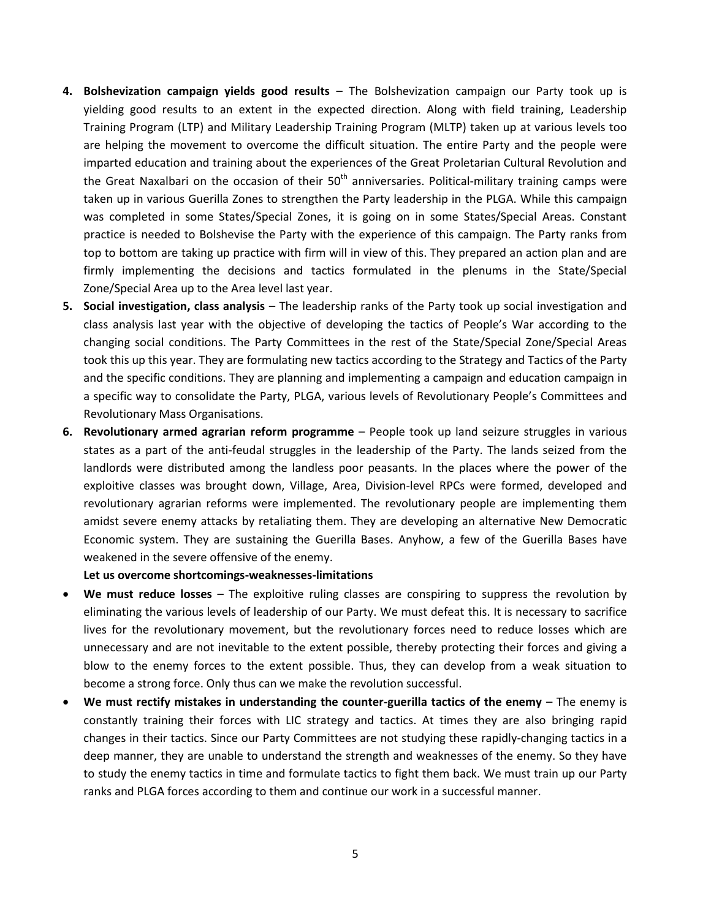- **4. Bolshevization campaign yields good results** The Bolshevization campaign our Party took up is yielding good results to an extent in the expected direction. Along with field training, Leadership Training Program (LTP) and Military Leadership Training Program (MLTP) taken up at various levels too are helping the movement to overcome the difficult situation. The entire Party and the people were imparted education and training about the experiences of the Great Proletarian Cultural Revolution and the Great Naxalbari on the occasion of their  $50<sup>th</sup>$  anniversaries. Political-military training camps were taken up in various Guerilla Zones to strengthen the Party leadership in the PLGA. While this campaign was completed in some States/Special Zones, it is going on in some States/Special Areas. Constant practice is needed to Bolshevise the Party with the experience of this campaign. The Party ranks from top to bottom are taking up practice with firm will in view of this. They prepared an action plan and are firmly implementing the decisions and tactics formulated in the plenums in the State/Special Zone/Special Area up to the Area level last year.
- **5. Social investigation, class analysis** The leadership ranks of the Party took up social investigation and class analysis last year with the objective of developing the tactics of People's War according to the changing social conditions. The Party Committees in the rest of the State/Special Zone/Special Areas took this up this year. They are formulating new tactics according to the Strategy and Tactics of the Party and the specific conditions. They are planning and implementing a campaign and education campaign in a specific way to consolidate the Party, PLGA, various levels of Revolutionary People's Committees and Revolutionary Mass Organisations.
- **6. Revolutionary armed agrarian reform programme** People took up land seizure struggles in various states as a part of the anti-feudal struggles in the leadership of the Party. The lands seized from the landlords were distributed among the landless poor peasants. In the places where the power of the exploitive classes was brought down, Village, Area, Division-level RPCs were formed, developed and revolutionary agrarian reforms were implemented. The revolutionary people are implementing them amidst severe enemy attacks by retaliating them. They are developing an alternative New Democratic Economic system. They are sustaining the Guerilla Bases. Anyhow, a few of the Guerilla Bases have weakened in the severe offensive of the enemy.

**Let us overcome shortcomings-weaknesses-limitations**

- **We must reduce losses** The exploitive ruling classes are conspiring to suppress the revolution by eliminating the various levels of leadership of our Party. We must defeat this. It is necessary to sacrifice lives for the revolutionary movement, but the revolutionary forces need to reduce losses which are unnecessary and are not inevitable to the extent possible, thereby protecting their forces and giving a blow to the enemy forces to the extent possible. Thus, they can develop from a weak situation to become a strong force. Only thus can we make the revolution successful.
- **We must rectify mistakes in understanding the counter-guerilla tactics of the enemy** The enemy is constantly training their forces with LIC strategy and tactics. At times they are also bringing rapid changes in their tactics. Since our Party Committees are not studying these rapidly-changing tactics in a deep manner, they are unable to understand the strength and weaknesses of the enemy. So they have to study the enemy tactics in time and formulate tactics to fight them back. We must train up our Party ranks and PLGA forces according to them and continue our work in a successful manner.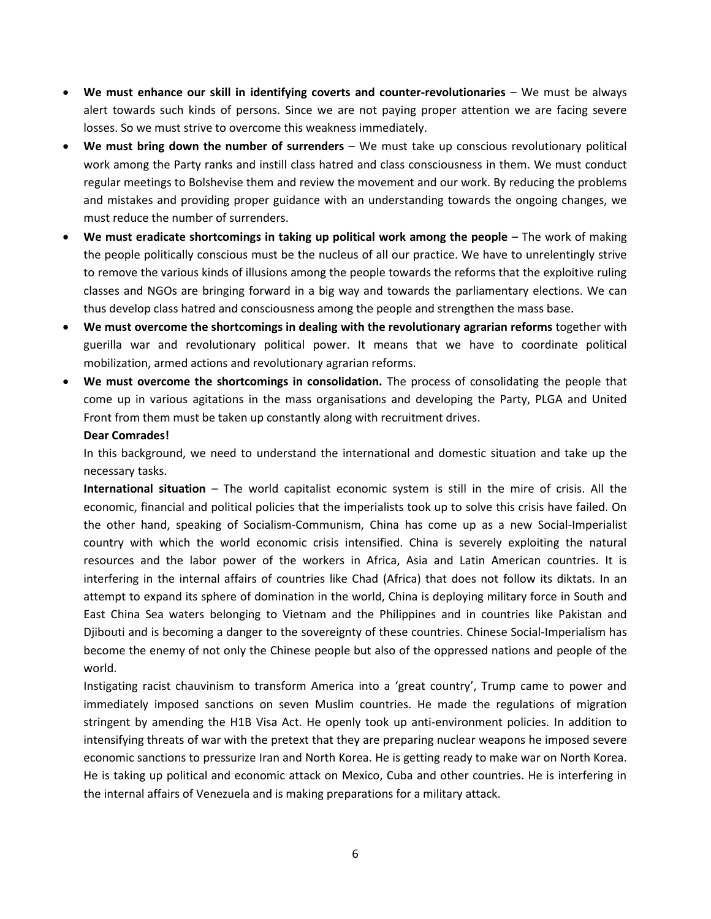- **We must enhance our skill in identifying coverts and counter-revolutionaries** We must be always alert towards such kinds of persons. Since we are not paying proper attention we are facing severe losses. So we must strive to overcome this weakness immediately.
- **We must bring down the number of surrenders** We must take up conscious revolutionary political work among the Party ranks and instill class hatred and class consciousness in them. We must conduct regular meetings to Bolshevise them and review the movement and our work. By reducing the problems and mistakes and providing proper guidance with an understanding towards the ongoing changes, we must reduce the number of surrenders.
- **We must eradicate shortcomings in taking up political work among the people** The work of making the people politically conscious must be the nucleus of all our practice. We have to unrelentingly strive to remove the various kinds of illusions among the people towards the reforms that the exploitive ruling classes and NGOs are bringing forward in a big way and towards the parliamentary elections. We can thus develop class hatred and consciousness among the people and strengthen the mass base.
- **We must overcome the shortcomings in dealing with the revolutionary agrarian reforms** together with guerilla war and revolutionary political power. It means that we have to coordinate political mobilization, armed actions and revolutionary agrarian reforms.
- **We must overcome the shortcomings in consolidation.** The process of consolidating the people that come up in various agitations in the mass organisations and developing the Party, PLGA and United Front from them must be taken up constantly along with recruitment drives.

## **Dear Comrades!**

In this background, we need to understand the international and domestic situation and take up the necessary tasks.

**International situation** – The world capitalist economic system is still in the mire of crisis. All the economic, financial and political policies that the imperialists took up to solve this crisis have failed. On the other hand, speaking of Socialism-Communism, China has come up as a new Social-Imperialist country with which the world economic crisis intensified. China is severely exploiting the natural resources and the labor power of the workers in Africa, Asia and Latin American countries. It is interfering in the internal affairs of countries like Chad (Africa) that does not follow its diktats. In an attempt to expand its sphere of domination in the world, China is deploying military force in South and East China Sea waters belonging to Vietnam and the Philippines and in countries like Pakistan and Djibouti and is becoming a danger to the sovereignty of these countries. Chinese Social-Imperialism has become the enemy of not only the Chinese people but also of the oppressed nations and people of the world.

Instigating racist chauvinism to transform America into a 'great country', Trump came to power and immediately imposed sanctions on seven Muslim countries. He made the regulations of migration stringent by amending the H1B Visa Act. He openly took up anti-environment policies. In addition to intensifying threats of war with the pretext that they are preparing nuclear weapons he imposed severe economic sanctions to pressurize Iran and North Korea. He is getting ready to make war on North Korea. He is taking up political and economic attack on Mexico, Cuba and other countries. He is interfering in the internal affairs of Venezuela and is making preparations for a military attack.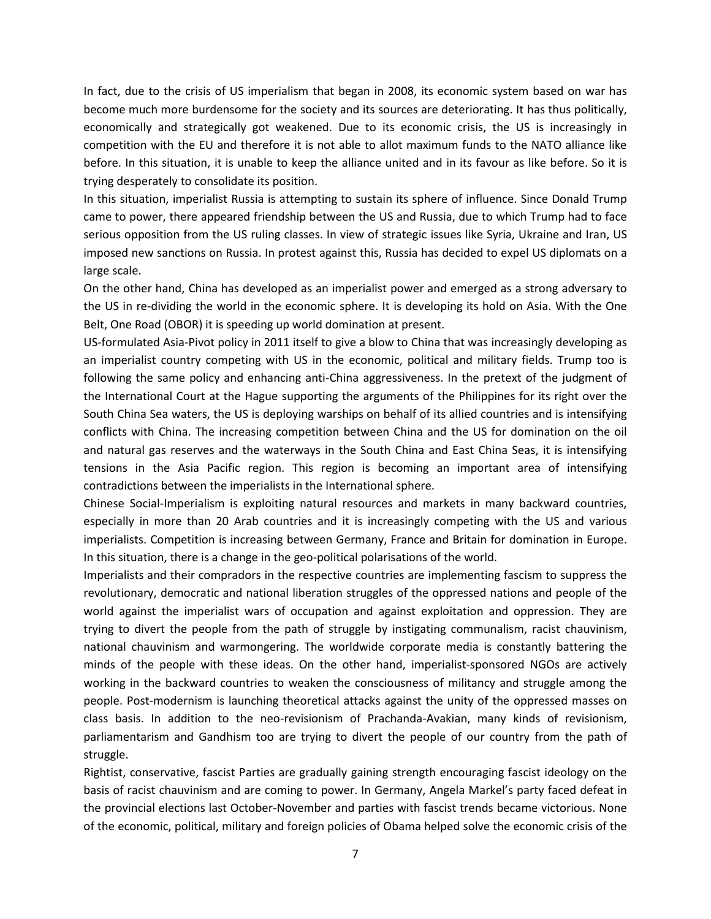In fact, due to the crisis of US imperialism that began in 2008, its economic system based on war has become much more burdensome for the society and its sources are deteriorating. It has thus politically, economically and strategically got weakened. Due to its economic crisis, the US is increasingly in competition with the EU and therefore it is not able to allot maximum funds to the NATO alliance like before. In this situation, it is unable to keep the alliance united and in its favour as like before. So it is trying desperately to consolidate its position.

In this situation, imperialist Russia is attempting to sustain its sphere of influence. Since Donald Trump came to power, there appeared friendship between the US and Russia, due to which Trump had to face serious opposition from the US ruling classes. In view of strategic issues like Syria, Ukraine and Iran, US imposed new sanctions on Russia. In protest against this, Russia has decided to expel US diplomats on a large scale.

On the other hand, China has developed as an imperialist power and emerged as a strong adversary to the US in re-dividing the world in the economic sphere. It is developing its hold on Asia. With the One Belt, One Road (OBOR) it is speeding up world domination at present.

US-formulated Asia-Pivot policy in 2011 itself to give a blow to China that was increasingly developing as an imperialist country competing with US in the economic, political and military fields. Trump too is following the same policy and enhancing anti-China aggressiveness. In the pretext of the judgment of the International Court at the Hague supporting the arguments of the Philippines for its right over the South China Sea waters, the US is deploying warships on behalf of its allied countries and is intensifying conflicts with China. The increasing competition between China and the US for domination on the oil and natural gas reserves and the waterways in the South China and East China Seas, it is intensifying tensions in the Asia Pacific region. This region is becoming an important area of intensifying contradictions between the imperialists in the International sphere.

Chinese Social-Imperialism is exploiting natural resources and markets in many backward countries, especially in more than 20 Arab countries and it is increasingly competing with the US and various imperialists. Competition is increasing between Germany, France and Britain for domination in Europe. In this situation, there is a change in the geo-political polarisations of the world.

Imperialists and their compradors in the respective countries are implementing fascism to suppress the revolutionary, democratic and national liberation struggles of the oppressed nations and people of the world against the imperialist wars of occupation and against exploitation and oppression. They are trying to divert the people from the path of struggle by instigating communalism, racist chauvinism, national chauvinism and warmongering. The worldwide corporate media is constantly battering the minds of the people with these ideas. On the other hand, imperialist-sponsored NGOs are actively working in the backward countries to weaken the consciousness of militancy and struggle among the people. Post-modernism is launching theoretical attacks against the unity of the oppressed masses on class basis. In addition to the neo-revisionism of Prachanda-Avakian, many kinds of revisionism, parliamentarism and Gandhism too are trying to divert the people of our country from the path of struggle.

Rightist, conservative, fascist Parties are gradually gaining strength encouraging fascist ideology on the basis of racist chauvinism and are coming to power. In Germany, Angela Markel's party faced defeat in the provincial elections last October-November and parties with fascist trends became victorious. None of the economic, political, military and foreign policies of Obama helped solve the economic crisis of the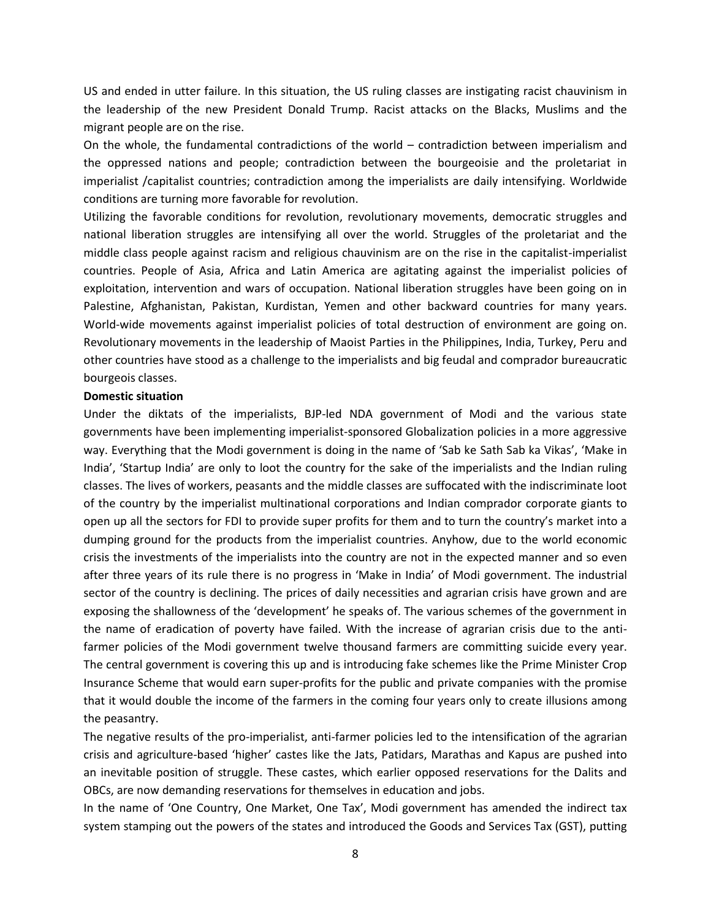US and ended in utter failure. In this situation, the US ruling classes are instigating racist chauvinism in the leadership of the new President Donald Trump. Racist attacks on the Blacks, Muslims and the migrant people are on the rise.

On the whole, the fundamental contradictions of the world – contradiction between imperialism and the oppressed nations and people; contradiction between the bourgeoisie and the proletariat in imperialist /capitalist countries; contradiction among the imperialists are daily intensifying. Worldwide conditions are turning more favorable for revolution.

Utilizing the favorable conditions for revolution, revolutionary movements, democratic struggles and national liberation struggles are intensifying all over the world. Struggles of the proletariat and the middle class people against racism and religious chauvinism are on the rise in the capitalist-imperialist countries. People of Asia, Africa and Latin America are agitating against the imperialist policies of exploitation, intervention and wars of occupation. National liberation struggles have been going on in Palestine, Afghanistan, Pakistan, Kurdistan, Yemen and other backward countries for many years. World-wide movements against imperialist policies of total destruction of environment are going on. Revolutionary movements in the leadership of Maoist Parties in the Philippines, India, Turkey, Peru and other countries have stood as a challenge to the imperialists and big feudal and comprador bureaucratic bourgeois classes.

### **Domestic situation**

Under the diktats of the imperialists, BJP-led NDA government of Modi and the various state governments have been implementing imperialist-sponsored Globalization policies in a more aggressive way. Everything that the Modi government is doing in the name of 'Sab ke Sath Sab ka Vikas', 'Make in India', 'Startup India' are only to loot the country for the sake of the imperialists and the Indian ruling classes. The lives of workers, peasants and the middle classes are suffocated with the indiscriminate loot of the country by the imperialist multinational corporations and Indian comprador corporate giants to open up all the sectors for FDI to provide super profits for them and to turn the country's market into a dumping ground for the products from the imperialist countries. Anyhow, due to the world economic crisis the investments of the imperialists into the country are not in the expected manner and so even after three years of its rule there is no progress in 'Make in India' of Modi government. The industrial sector of the country is declining. The prices of daily necessities and agrarian crisis have grown and are exposing the shallowness of the 'development' he speaks of. The various schemes of the government in the name of eradication of poverty have failed. With the increase of agrarian crisis due to the antifarmer policies of the Modi government twelve thousand farmers are committing suicide every year. The central government is covering this up and is introducing fake schemes like the Prime Minister Crop Insurance Scheme that would earn super-profits for the public and private companies with the promise that it would double the income of the farmers in the coming four years only to create illusions among the peasantry.

The negative results of the pro-imperialist, anti-farmer policies led to the intensification of the agrarian crisis and agriculture-based 'higher' castes like the Jats, Patidars, Marathas and Kapus are pushed into an inevitable position of struggle. These castes, which earlier opposed reservations for the Dalits and OBCs, are now demanding reservations for themselves in education and jobs.

In the name of 'One Country, One Market, One Tax', Modi government has amended the indirect tax system stamping out the powers of the states and introduced the Goods and Services Tax (GST), putting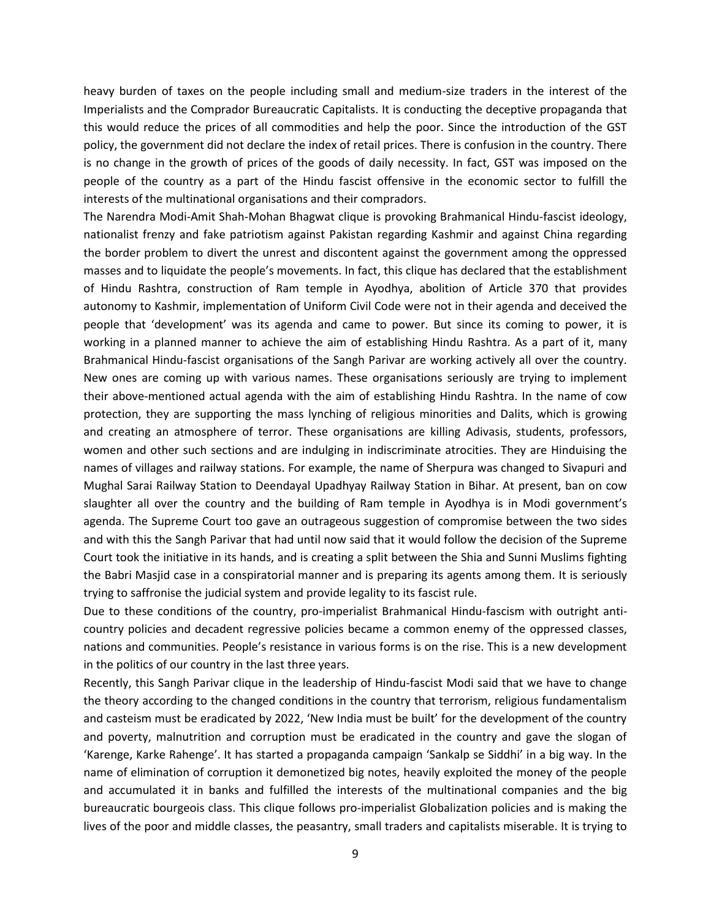heavy burden of taxes on the people including small and medium-size traders in the interest of the Imperialists and the Comprador Bureaucratic Capitalists. It is conducting the deceptive propaganda that this would reduce the prices of all commodities and help the poor. Since the introduction of the GST policy, the government did not declare the index of retail prices. There is confusion in the country. There is no change in the growth of prices of the goods of daily necessity. In fact, GST was imposed on the people of the country as a part of the Hindu fascist offensive in the economic sector to fulfill the interests of the multinational organisations and their compradors.

The Narendra Modi-Amit Shah-Mohan Bhagwat clique is provoking Brahmanical Hindu-fascist ideology, nationalist frenzy and fake patriotism against Pakistan regarding Kashmir and against China regarding the border problem to divert the unrest and discontent against the government among the oppressed masses and to liquidate the people's movements. In fact, this clique has declared that the establishment of Hindu Rashtra, construction of Ram temple in Ayodhya, abolition of Article 370 that provides autonomy to Kashmir, implementation of Uniform Civil Code were not in their agenda and deceived the people that 'development' was its agenda and came to power. But since its coming to power, it is working in a planned manner to achieve the aim of establishing Hindu Rashtra. As a part of it, many Brahmanical Hindu-fascist organisations of the Sangh Parivar are working actively all over the country. New ones are coming up with various names. These organisations seriously are trying to implement their above-mentioned actual agenda with the aim of establishing Hindu Rashtra. In the name of cow protection, they are supporting the mass lynching of religious minorities and Dalits, which is growing and creating an atmosphere of terror. These organisations are killing Adivasis, students, professors, women and other such sections and are indulging in indiscriminate atrocities. They are Hinduising the names of villages and railway stations. For example, the name of Sherpura was changed to Sivapuri and Mughal Sarai Railway Station to Deendayal Upadhyay Railway Station in Bihar. At present, ban on cow slaughter all over the country and the building of Ram temple in Ayodhya is in Modi government's agenda. The Supreme Court too gave an outrageous suggestion of compromise between the two sides and with this the Sangh Parivar that had until now said that it would follow the decision of the Supreme Court took the initiative in its hands, and is creating a split between the Shia and Sunni Muslims fighting the Babri Masjid case in a conspiratorial manner and is preparing its agents among them. It is seriously trying to saffronise the judicial system and provide legality to its fascist rule.

Due to these conditions of the country, pro-imperialist Brahmanical Hindu-fascism with outright anticountry policies and decadent regressive policies became a common enemy of the oppressed classes, nations and communities. People's resistance in various forms is on the rise. This is a new development in the politics of our country in the last three years.

Recently, this Sangh Parivar clique in the leadership of Hindu-fascist Modi said that we have to change the theory according to the changed conditions in the country that terrorism, religious fundamentalism and casteism must be eradicated by 2022, 'New India must be built' for the development of the country and poverty, malnutrition and corruption must be eradicated in the country and gave the slogan of 'Karenge, Karke Rahenge'. It has started a propaganda campaign 'Sankalp se Siddhi' in a big way. In the name of elimination of corruption it demonetized big notes, heavily exploited the money of the people and accumulated it in banks and fulfilled the interests of the multinational companies and the big bureaucratic bourgeois class. This clique follows pro-imperialist Globalization policies and is making the lives of the poor and middle classes, the peasantry, small traders and capitalists miserable. It is trying to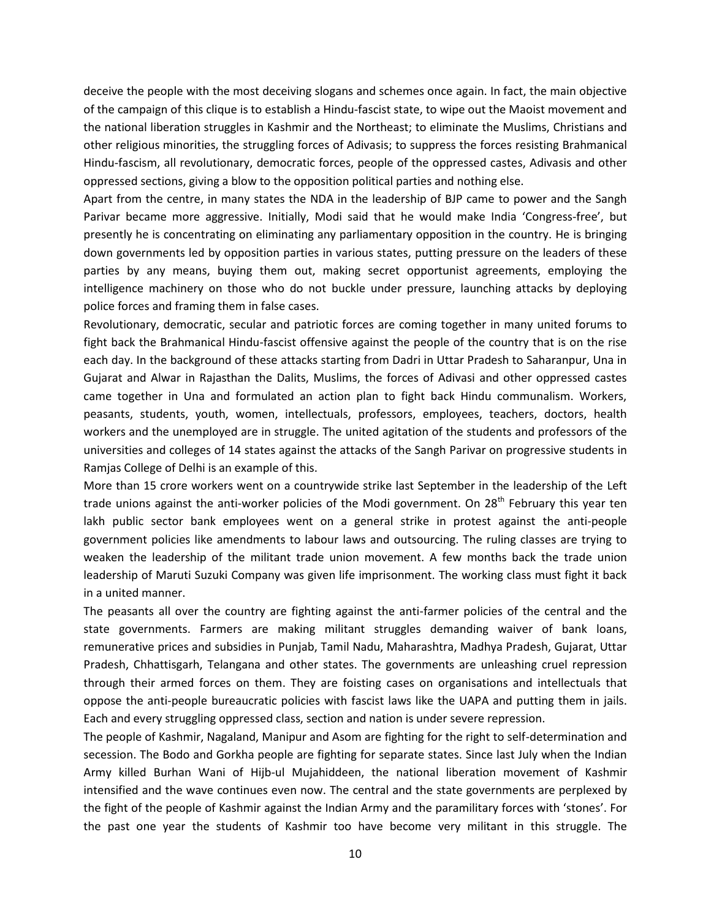deceive the people with the most deceiving slogans and schemes once again. In fact, the main objective of the campaign of this clique is to establish a Hindu-fascist state, to wipe out the Maoist movement and the national liberation struggles in Kashmir and the Northeast; to eliminate the Muslims, Christians and other religious minorities, the struggling forces of Adivasis; to suppress the forces resisting Brahmanical Hindu-fascism, all revolutionary, democratic forces, people of the oppressed castes, Adivasis and other oppressed sections, giving a blow to the opposition political parties and nothing else.

Apart from the centre, in many states the NDA in the leadership of BJP came to power and the Sangh Parivar became more aggressive. Initially, Modi said that he would make India 'Congress-free', but presently he is concentrating on eliminating any parliamentary opposition in the country. He is bringing down governments led by opposition parties in various states, putting pressure on the leaders of these parties by any means, buying them out, making secret opportunist agreements, employing the intelligence machinery on those who do not buckle under pressure, launching attacks by deploying police forces and framing them in false cases.

Revolutionary, democratic, secular and patriotic forces are coming together in many united forums to fight back the Brahmanical Hindu-fascist offensive against the people of the country that is on the rise each day. In the background of these attacks starting from Dadri in Uttar Pradesh to Saharanpur, Una in Gujarat and Alwar in Rajasthan the Dalits, Muslims, the forces of Adivasi and other oppressed castes came together in Una and formulated an action plan to fight back Hindu communalism. Workers, peasants, students, youth, women, intellectuals, professors, employees, teachers, doctors, health workers and the unemployed are in struggle. The united agitation of the students and professors of the universities and colleges of 14 states against the attacks of the Sangh Parivar on progressive students in Ramjas College of Delhi is an example of this.

More than 15 crore workers went on a countrywide strike last September in the leadership of the Left trade unions against the anti-worker policies of the Modi government. On 28<sup>th</sup> February this year ten lakh public sector bank employees went on a general strike in protest against the anti-people government policies like amendments to labour laws and outsourcing. The ruling classes are trying to weaken the leadership of the militant trade union movement. A few months back the trade union leadership of Maruti Suzuki Company was given life imprisonment. The working class must fight it back in a united manner.

The peasants all over the country are fighting against the anti-farmer policies of the central and the state governments. Farmers are making militant struggles demanding waiver of bank loans, remunerative prices and subsidies in Punjab, Tamil Nadu, Maharashtra, Madhya Pradesh, Gujarat, Uttar Pradesh, Chhattisgarh, Telangana and other states. The governments are unleashing cruel repression through their armed forces on them. They are foisting cases on organisations and intellectuals that oppose the anti-people bureaucratic policies with fascist laws like the UAPA and putting them in jails. Each and every struggling oppressed class, section and nation is under severe repression.

The people of Kashmir, Nagaland, Manipur and Asom are fighting for the right to self-determination and secession. The Bodo and Gorkha people are fighting for separate states. Since last July when the Indian Army killed Burhan Wani of Hijb-ul Mujahiddeen, the national liberation movement of Kashmir intensified and the wave continues even now. The central and the state governments are perplexed by the fight of the people of Kashmir against the Indian Army and the paramilitary forces with 'stones'. For the past one year the students of Kashmir too have become very militant in this struggle. The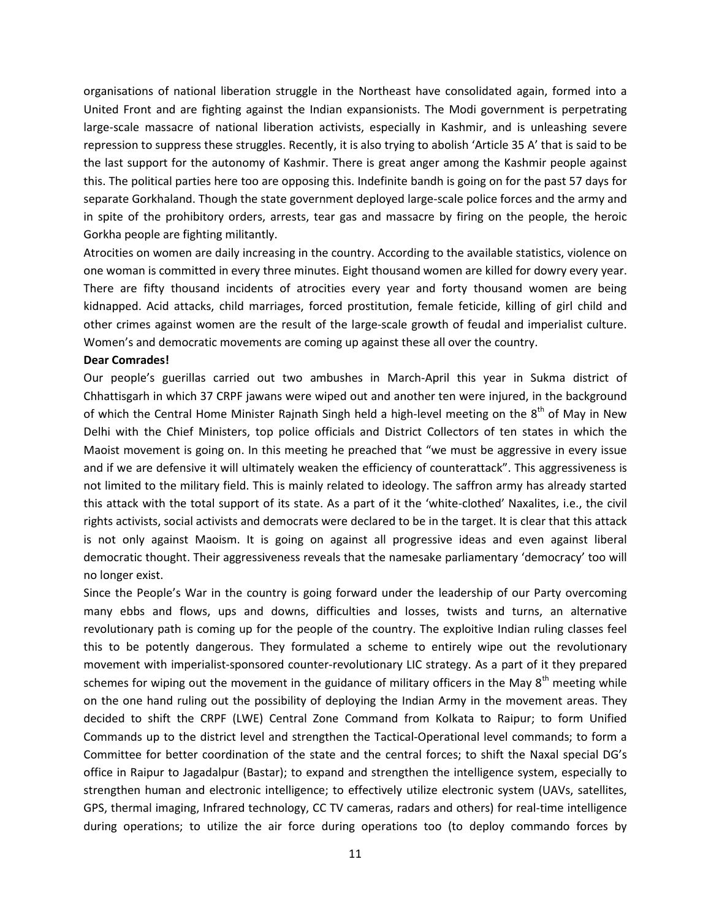organisations of national liberation struggle in the Northeast have consolidated again, formed into a United Front and are fighting against the Indian expansionists. The Modi government is perpetrating large-scale massacre of national liberation activists, especially in Kashmir, and is unleashing severe repression to suppress these struggles. Recently, it is also trying to abolish 'Article 35 A' that is said to be the last support for the autonomy of Kashmir. There is great anger among the Kashmir people against this. The political parties here too are opposing this. Indefinite bandh is going on for the past 57 days for separate Gorkhaland. Though the state government deployed large-scale police forces and the army and in spite of the prohibitory orders, arrests, tear gas and massacre by firing on the people, the heroic Gorkha people are fighting militantly.

Atrocities on women are daily increasing in the country. According to the available statistics, violence on one woman is committed in every three minutes. Eight thousand women are killed for dowry every year. There are fifty thousand incidents of atrocities every year and forty thousand women are being kidnapped. Acid attacks, child marriages, forced prostitution, female feticide, killing of girl child and other crimes against women are the result of the large-scale growth of feudal and imperialist culture. Women's and democratic movements are coming up against these all over the country.

#### **Dear Comrades!**

Our people's guerillas carried out two ambushes in March-April this year in Sukma district of Chhattisgarh in which 37 CRPF jawans were wiped out and another ten were injured, in the background of which the Central Home Minister Rajnath Singh held a high-level meeting on the  $8<sup>th</sup>$  of May in New Delhi with the Chief Ministers, top police officials and District Collectors of ten states in which the Maoist movement is going on. In this meeting he preached that "we must be aggressive in every issue and if we are defensive it will ultimately weaken the efficiency of counterattack". This aggressiveness is not limited to the military field. This is mainly related to ideology. The saffron army has already started this attack with the total support of its state. As a part of it the 'white-clothed' Naxalites, i.e., the civil rights activists, social activists and democrats were declared to be in the target. It is clear that this attack is not only against Maoism. It is going on against all progressive ideas and even against liberal democratic thought. Their aggressiveness reveals that the namesake parliamentary 'democracy' too will no longer exist.

Since the People's War in the country is going forward under the leadership of our Party overcoming many ebbs and flows, ups and downs, difficulties and losses, twists and turns, an alternative revolutionary path is coming up for the people of the country. The exploitive Indian ruling classes feel this to be potently dangerous. They formulated a scheme to entirely wipe out the revolutionary movement with imperialist-sponsored counter-revolutionary LIC strategy. As a part of it they prepared schemes for wiping out the movement in the guidance of military officers in the May  $8<sup>th</sup>$  meeting while on the one hand ruling out the possibility of deploying the Indian Army in the movement areas. They decided to shift the CRPF (LWE) Central Zone Command from Kolkata to Raipur; to form Unified Commands up to the district level and strengthen the Tactical-Operational level commands; to form a Committee for better coordination of the state and the central forces; to shift the Naxal special DG's office in Raipur to Jagadalpur (Bastar); to expand and strengthen the intelligence system, especially to strengthen human and electronic intelligence; to effectively utilize electronic system (UAVs, satellites, GPS, thermal imaging, Infrared technology, CC TV cameras, radars and others) for real-time intelligence during operations; to utilize the air force during operations too (to deploy commando forces by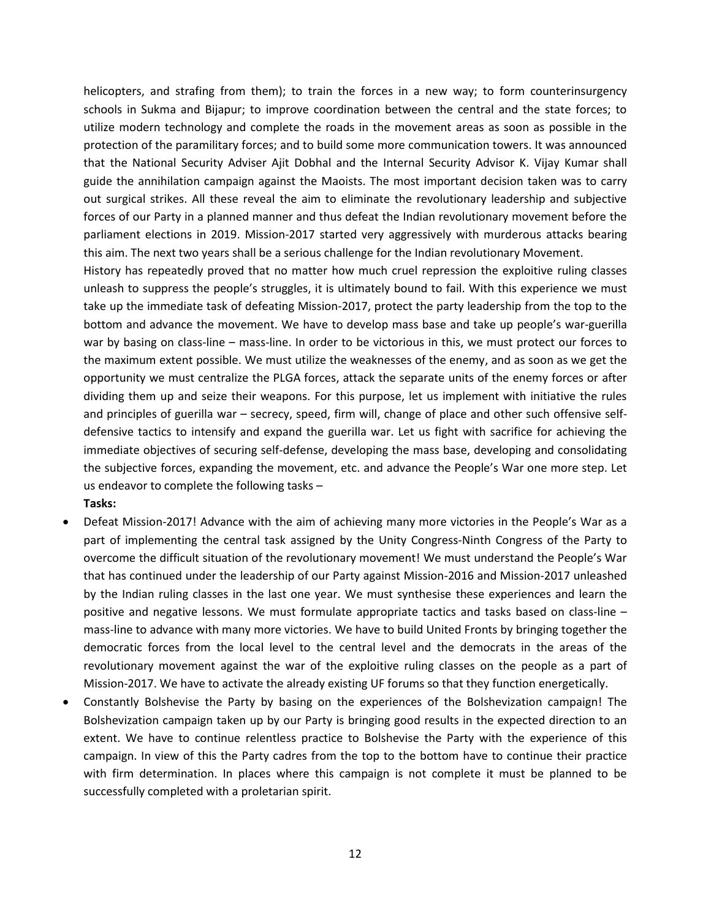helicopters, and strafing from them); to train the forces in a new way; to form counterinsurgency schools in Sukma and Bijapur; to improve coordination between the central and the state forces; to utilize modern technology and complete the roads in the movement areas as soon as possible in the protection of the paramilitary forces; and to build some more communication towers. It was announced that the National Security Adviser Ajit Dobhal and the Internal Security Advisor K. Vijay Kumar shall guide the annihilation campaign against the Maoists. The most important decision taken was to carry out surgical strikes. All these reveal the aim to eliminate the revolutionary leadership and subjective forces of our Party in a planned manner and thus defeat the Indian revolutionary movement before the parliament elections in 2019. Mission-2017 started very aggressively with murderous attacks bearing this aim. The next two years shall be a serious challenge for the Indian revolutionary Movement.

History has repeatedly proved that no matter how much cruel repression the exploitive ruling classes unleash to suppress the people's struggles, it is ultimately bound to fail. With this experience we must take up the immediate task of defeating Mission-2017, protect the party leadership from the top to the bottom and advance the movement. We have to develop mass base and take up people's war-guerilla war by basing on class-line – mass-line. In order to be victorious in this, we must protect our forces to the maximum extent possible. We must utilize the weaknesses of the enemy, and as soon as we get the opportunity we must centralize the PLGA forces, attack the separate units of the enemy forces or after dividing them up and seize their weapons. For this purpose, let us implement with initiative the rules and principles of guerilla war – secrecy, speed, firm will, change of place and other such offensive selfdefensive tactics to intensify and expand the guerilla war. Let us fight with sacrifice for achieving the immediate objectives of securing self-defense, developing the mass base, developing and consolidating the subjective forces, expanding the movement, etc. and advance the People's War one more step. Let us endeavor to complete the following tasks – **Tasks:** 

- Defeat Mission-2017! Advance with the aim of achieving many more victories in the People's War as a part of implementing the central task assigned by the Unity Congress-Ninth Congress of the Party to overcome the difficult situation of the revolutionary movement! We must understand the People's War that has continued under the leadership of our Party against Mission-2016 and Mission-2017 unleashed by the Indian ruling classes in the last one year. We must synthesise these experiences and learn the positive and negative lessons. We must formulate appropriate tactics and tasks based on class-line – mass-line to advance with many more victories. We have to build United Fronts by bringing together the democratic forces from the local level to the central level and the democrats in the areas of the revolutionary movement against the war of the exploitive ruling classes on the people as a part of Mission-2017. We have to activate the already existing UF forums so that they function energetically.
- Constantly Bolshevise the Party by basing on the experiences of the Bolshevization campaign! The Bolshevization campaign taken up by our Party is bringing good results in the expected direction to an extent. We have to continue relentless practice to Bolshevise the Party with the experience of this campaign. In view of this the Party cadres from the top to the bottom have to continue their practice with firm determination. In places where this campaign is not complete it must be planned to be successfully completed with a proletarian spirit.